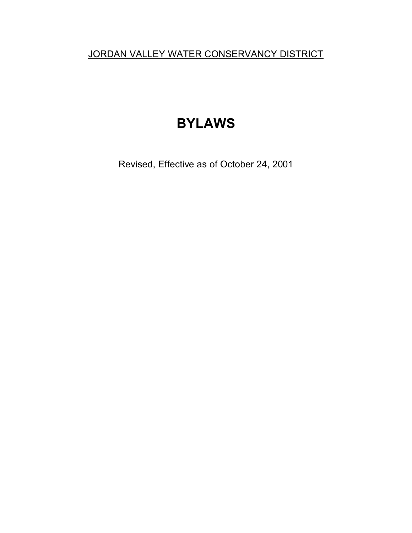JORDAN VALLEY WATER CONSERVANCY DISTRICT

# **BYLAWS**

Revised, Effective as of October 24, 2001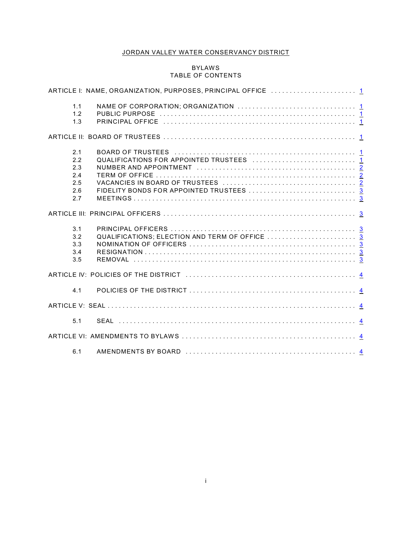## JORDAN VALLEY WATER CONSERVANCY DISTRICT

## BYLAWS TABLE OF CONTENTS

| 1.1<br>1.2<br>1.3                             |  |  |
|-----------------------------------------------|--|--|
|                                               |  |  |
| 2.1<br>2.2<br>2.3<br>2.4<br>2.5<br>2.6<br>2.7 |  |  |
|                                               |  |  |
| 3.1<br>3.2<br>3.3<br>3.4<br>3.5               |  |  |
|                                               |  |  |
| 4.1                                           |  |  |
|                                               |  |  |
| 5.1                                           |  |  |
|                                               |  |  |
| 6.1                                           |  |  |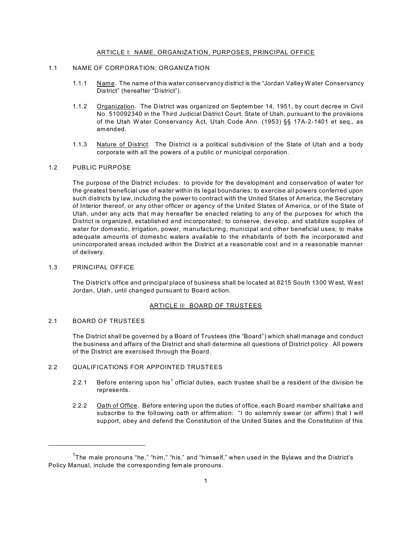## <span id="page-2-0"></span>ARTICLE I: NAME, ORGANIZATION, PURPOSES, PRINCIPAL OFFICE

## <span id="page-2-1"></span>1.1 NAME OF CORPORATION; ORGANIZATION

- 1.1.1 Name. The name of this water conservancy district is the "Jordan Valley W ater Conservancy District" (hereafter "District").
- 1.1.2 Organization. The District was organized on September 14, 1951, by court decree in Civil No. 510092340 in the Third Judicial District Court, State of Utah, pursuant to the provisions of the Utah W ater Conservancy Act, Utah Code Ann. (1953) §§ 17A-2-1401 et seq., as amended.
- 1.1.3 Nature of District. The District is a political subdivision of the State of Utah and a body corporate with all the powers of a public or municipal corporation.

#### <span id="page-2-2"></span>1.2 PUBLIC PURPOSE

The purpose of the District includes: to provide for the development and conservation of water for the greatest beneficial use of water within its legal boundaries; to exercise all powers conferred upon such districts by law, including the power to contract with the United States of America, the Secretary of Interior thereof, or any other officer or agency of the United States of America, or of the State of Utah, under any acts that may hereafter be enacted relating to any of the purposes for which the District is organized, established and incorporated; to conserve, develop, and stabilize supplies of water for domestic, irrigation, power, manufacturing, municipal and other beneficial uses; to make adequate amounts of domestic waters available to the inhabitants of both the incorporated and unincorporated areas included within the District at a reasonable cost and in a reasonable manner of delivery.

## <span id="page-2-3"></span>1.3 PRINCIPAL OFFICE

The District's office and principal place of business shall be located at 8215 South 1300 W est, W est Jordan, Utah, until changed pursuant to Board action.

#### <span id="page-2-4"></span>ARTICLE II: BOARD OF TRUSTEES

#### <span id="page-2-5"></span>2.1 BOARD OF TRUSTEES

The District shall be governed by a Board of Trustees (the "Board") which shall manage and conduct the business and affairs of the District and shall determine all questions of District policy. All powers of the District are exercised through the Board.

## <span id="page-2-6"></span>2.2 QUALIFICATIONS FOR APPOINTED TRUSTEES

- 2.2.1 Before entering upon his<sup>1</sup> official duties, each trustee shall be a resident of the division he represents.
- 2.2.2 Oath of Office. Before entering upon the duties of office, each Board member shall take and subscribe to the following oath or affirm ation: "I do solem nly swear (or affirm) that I will support, obey and defend the Constitution of the United States and the Constitution of this

 $^{\mathsf{1}}$ The male pronouns "he," "him," "his," and "himself," when used in the Bylaws and the District's Policy Manual, include the corresponding fem ale pronouns.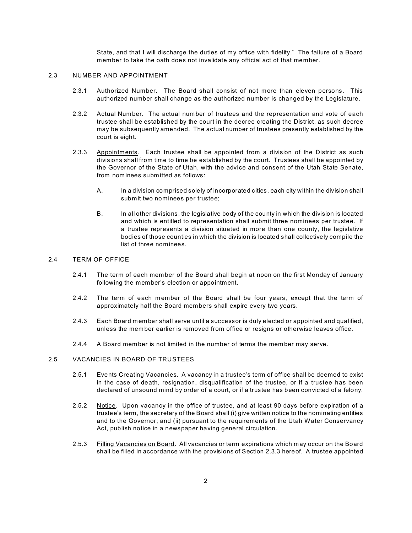State, and that I will discharge the duties of my office with fidelity." The failure of a Board member to take the oath does not invalidate any official act of that member.

#### <span id="page-3-0"></span>2.3 NUMBER AND APPOINTMENT

- 2.3.1 Authorized Number. The Board shall consist of not more than eleven persons. This authorized number shall change as the authorized number is changed by the Legislature.
- 2.3.2 Actual Number. The actual number of trustees and the representation and vote of each trustee shall be established by the court in the decree creating the District, as such decree may be subsequently amended. The actual number of trustees presently established by the court is eight.
- 2.3.3 Appointments. Each trustee shall be appointed from a division of the District as such divisions shall from time to time be established by the court. Trustees shall be appointed by the Governor of the State of Utah, with the advice and consent of the Utah State Senate, from nom inees submitted as follows:
	- A. In a division comprised solely of incorporated cities, each city within the division shall submit two nominees per trustee;
	- B. In all other divisions, the legislative body of the county in which the division is located and which is entitled to representation shall submit three nominees per trustee. If a trustee represents a division situated in more than one county, the legislative bodies of those counties in which the division is located shall collectively compile the list of three nominees.

## <span id="page-3-1"></span>2.4 TERM OF OFFICE

- 2.4.1 The term of each mem ber of the Board shall begin at noon on the first Monday of January following the member's election or appointment.
- 2.4.2 The term of each member of the Board shall be four years, except that the term of approximately half the Board mem bers shall expire every two years.
- 2.4.3 Each Board member shall serve until a successor is duly elected or appointed and qualified, unless the mem ber earlier is removed from office or resigns or otherwise leaves office.
- 2.4.4 A Board mem ber is not limited in the number of terms the mem ber may serve.

## <span id="page-3-2"></span>2.5 VACANCIES IN BOARD OF TRUSTEES

- 2.5.1 Events Creating Vacancies. A vacancy in a trustee's term of office shall be deemed to exist in the case of death, resignation, disqualification of the trustee, or if a trustee has been declared of unsound mind by order of a court, or if a trustee has been convicted of a felony.
- 2.5.2 Notice. Upon vacancy in the office of trustee, and at least 90 days before expiration of a trustee's term, the secretary of the Board shall (i) give written notice to the nominating entities and to the Governor; and (ii) pursuant to the requirements of the Utah Water Conservancy Act, publish notice in a newspaper having general circulation.
- 2.5.3 Filling Vacancies on Board. All vacancies or term expirations which may occur on the Board shall be filled in accordance with the provisions of Section 2.3.3 hereof. A trustee appointed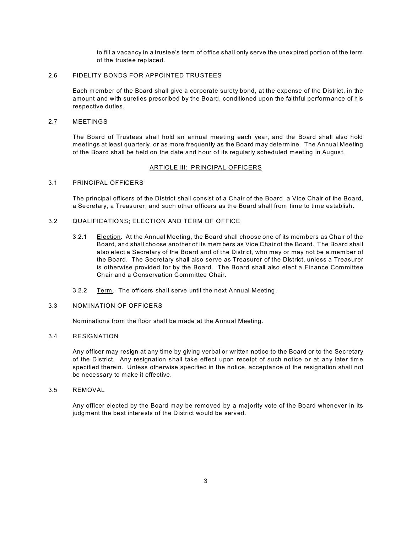to fill a vacancy in a trustee's term of office shall only serve the unexpired portion of the term of the trustee replaced.

#### <span id="page-4-0"></span>2.6 FIDELITY BONDS FOR APPOINTED TRUSTEES

Each m ember of the Board shall give a corporate surety bond, at the expense of the District, in the amount and with sureties prescribed by the Board, conditioned upon the faithful performance of his respective duties.

#### <span id="page-4-1"></span>2.7 MEETINGS

The Board of Trustees shall hold an annual meeting each year, and the Board shall also hold meetings at least quarterly, or as more frequently as the Board m ay determine. The Annual Meeting of the Board shall be held on the date and hour of its regularly scheduled meeting in August.

### <span id="page-4-2"></span>ARTICLE III: PRINCIPAL OFFICERS

#### <span id="page-4-3"></span>3.1 PRINCIPAL OFFICERS

The principal officers of the District shall consist of a Chair of the Board, a Vice Chair of the Board, a Secretary, a Treasurer, and such other officers as the Board shall from time to time establish.

### <span id="page-4-4"></span>3.2 QUALIFICATIONS; ELECTION AND TERM OF OFFICE

- 3.2.1 Election. At the Annual Meeting, the Board shall choose one of its members as Chair of the Board, and shall choose another of its mem bers as Vice Chair of the Board. The Board shall also elect a Secretary of the Board and of the District, who may or may not be a mem ber of the Board. The Secretary shall also serve as Treasurer of the District, unless a Treasurer is otherwise provided for by the Board. The Board shall also elect a Finance Committee Chair and a Conservation Committee Chair.
- 3.2.2 Term. The officers shall serve until the next Annual Meeting.

#### <span id="page-4-5"></span>3.3 NOMINATION OF OFFICERS

Nominations from the floor shall be made at the Annual Meeting.

#### <span id="page-4-6"></span>3.4 RESIGNATION

Any officer may resign at any time by giving verbal or written notice to the Board or to the Secretary of the District. Any resignation shall take effect upon receipt of such notice or at any later time specified therein. Unless otherwise specified in the notice, acceptance of the resignation shall not be necessary to make it effective.

## <span id="page-4-7"></span>3.5 REMOVAL

Any officer elected by the Board may be removed by a majority vote of the Board whenever in its judgment the best interests of the District would be served.